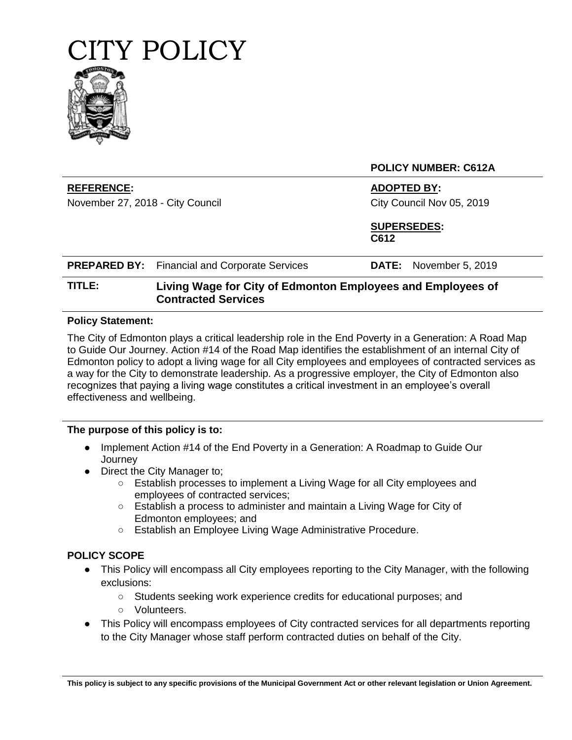

**REFERENCE: ADOPTED BY:**

November 27, 2018 - City Council City Council Nov 05, 2019

**POLICY NUMBER: C612A**

**SUPERSEDES: C612**

| <b>PREPARED BY:</b> Financial and Corporate Services | <b>DATE:</b> November 5, 2019 |  |
|------------------------------------------------------|-------------------------------|--|
|                                                      |                               |  |

# **TITLE: Living Wage for City of Edmonton Employees and Employees of Contracted Services**

#### **Policy Statement:**

The City of Edmonton plays a critical leadership role in the End Poverty in a Generation: A Road Map to Guide Our Journey. Action #14 of the Road Map identifies the establishment of an internal City of Edmonton policy to adopt a living wage for all City employees and employees of contracted services as a way for the City to demonstrate leadership. As a progressive employer, the City of Edmonton also recognizes that paying a living wage constitutes a critical investment in an employee's overall effectiveness and wellbeing.

#### **The purpose of this policy is to:**

- Implement Action #14 of the End Poverty in a Generation: A Roadmap to Guide Our **Journey**
- Direct the City Manager to:
	- Establish processes to implement a Living Wage for all City employees and employees of contracted services;
	- Establish a process to administer and maintain a Living Wage for City of Edmonton employees; and
	- Establish an Employee Living Wage Administrative Procedure.

### **POLICY SCOPE**

- This Policy will encompass all City employees reporting to the City Manager, with the following exclusions:
	- Students seeking work experience credits for educational purposes; and
	- Volunteers.
- This Policy will encompass employees of City contracted services for all departments reporting to the City Manager whose staff perform contracted duties on behalf of the City.